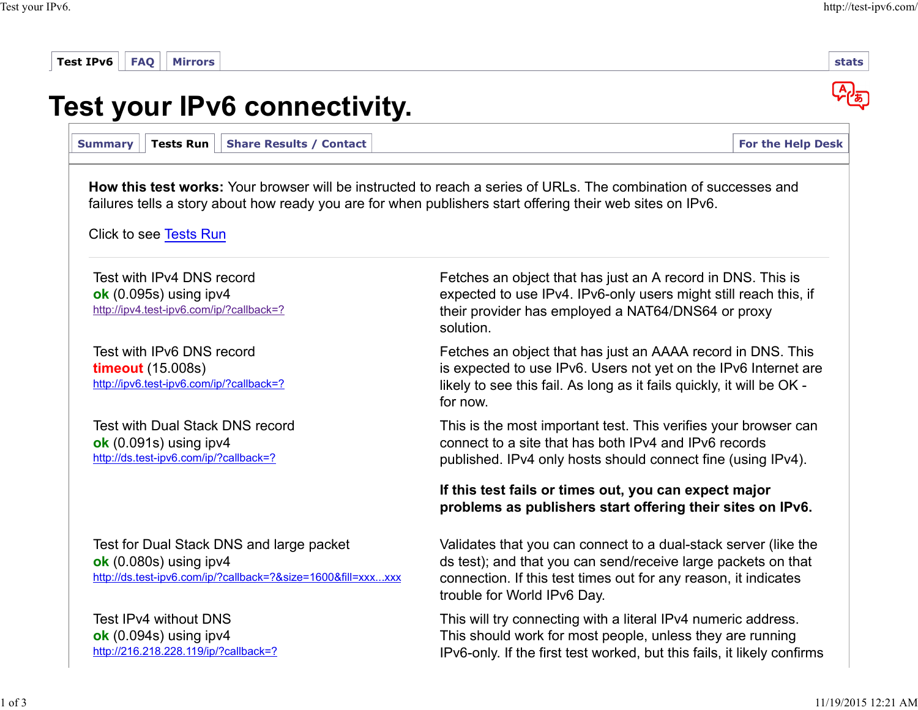| Tests Run<br><b>Share Results / Contact</b><br><b>Summary</b>                                                                        |                                                                                                                                                                                                                                    | <b>For the Help Desk</b> |
|--------------------------------------------------------------------------------------------------------------------------------------|------------------------------------------------------------------------------------------------------------------------------------------------------------------------------------------------------------------------------------|--------------------------|
|                                                                                                                                      | How this test works: Your browser will be instructed to reach a series of URLs. The combination of successes and<br>failures tells a story about how ready you are for when publishers start offering their web sites on IPv6.     |                          |
| Click to see Tests Run                                                                                                               |                                                                                                                                                                                                                                    |                          |
| Test with IPv4 DNS record<br>ok $(0.095s)$ using ipv4<br>http://ipv4.test-ipv6.com/ip/?callback=?                                    | Fetches an object that has just an A record in DNS. This is<br>expected to use IPv4. IPv6-only users might still reach this, if<br>their provider has employed a NAT64/DNS64 or proxy<br>solution.                                 |                          |
| Test with IPv6 DNS record<br><b>timeout</b> (15.008s)<br>http://ipv6.test-ipv6.com/ip/?callback=?                                    | Fetches an object that has just an AAAA record in DNS. This<br>is expected to use IPv6. Users not yet on the IPv6 Internet are<br>likely to see this fail. As long as it fails quickly, it will be OK -<br>for now.                |                          |
| Test with Dual Stack DNS record<br>ok $(0.091s)$ using ipv4<br>http://ds.test-ipv6.com/ip/?callback=?                                | This is the most important test. This verifies your browser can<br>connect to a site that has both IPv4 and IPv6 records<br>published. IPv4 only hosts should connect fine (using IPv4).                                           |                          |
|                                                                                                                                      | If this test fails or times out, you can expect major<br>problems as publishers start offering their sites on IPv6.                                                                                                                |                          |
| Test for Dual Stack DNS and large packet<br>ok $(0.080s)$ using ipv4<br>http://ds.test-ipv6.com/ip/?callback=?&size=1600&fill=xxxxxx | Validates that you can connect to a dual-stack server (like the<br>ds test); and that you can send/receive large packets on that<br>connection. If this test times out for any reason, it indicates<br>trouble for World IPv6 Day. |                          |
| Test IPv4 without DNS<br>ok $(0.094s)$ using ipv4<br>http://216.218.228.119/ip/?callback=?                                           | This will try connecting with a literal IPv4 numeric address.<br>This should work for most people, unless they are running<br>IPv6-only. If the first test worked, but this fails, it likely confirms                              |                          |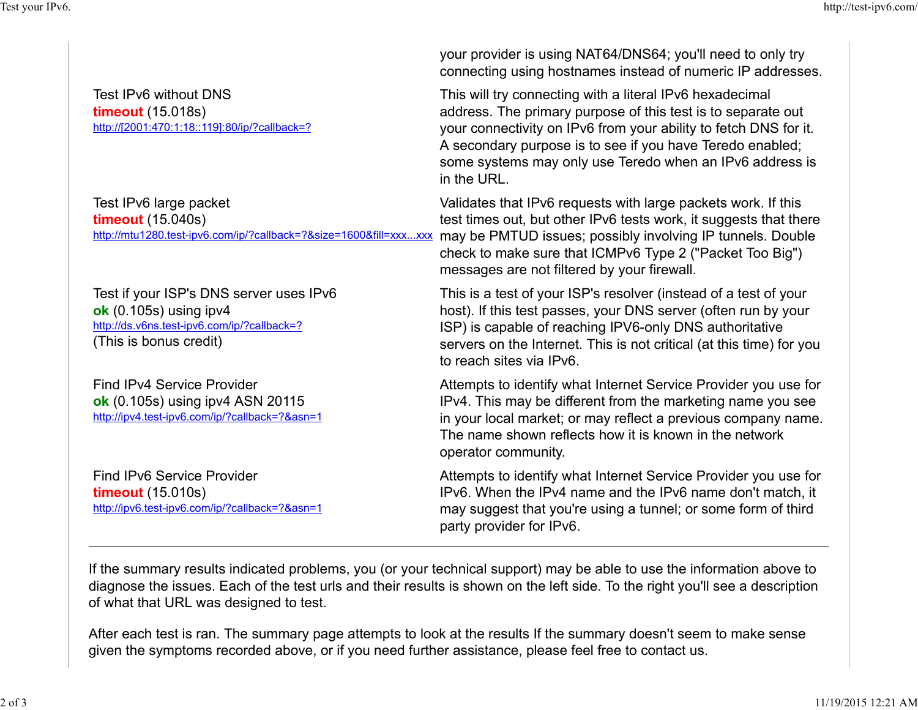|                                                                                                                                              | your provider is using NAT64/DNS64; you'll need to only try<br>connecting using hostnames instead of numeric IP addresses.                                                                                                                                                                                                           |
|----------------------------------------------------------------------------------------------------------------------------------------------|--------------------------------------------------------------------------------------------------------------------------------------------------------------------------------------------------------------------------------------------------------------------------------------------------------------------------------------|
| Test IPv6 without DNS<br><b>timeout</b> (15.018s)<br>http://[2001:470:1:18::119]:80/ip/?callback=?                                           | This will try connecting with a literal IPv6 hexadecimal<br>address. The primary purpose of this test is to separate out<br>your connectivity on IPv6 from your ability to fetch DNS for it.<br>A secondary purpose is to see if you have Teredo enabled;<br>some systems may only use Teredo when an IPv6 address is<br>in the URL. |
| Test IPv6 large packet<br><b>timeout</b> (15.040s)<br>http://mtu1280.test-ipv6.com/ip/?callback=?&size=1600&fill=xxxxxx                      | Validates that IPv6 requests with large packets work. If this<br>test times out, but other IPv6 tests work, it suggests that there<br>may be PMTUD issues; possibly involving IP tunnels. Double<br>check to make sure that ICMPv6 Type 2 ("Packet Too Big")<br>messages are not filtered by your firewall.                          |
| Test if your ISP's DNS server uses IPv6<br>ok $(0.105s)$ using ipv4<br>http://ds.v6ns.test-ipv6.com/ip/?callback=?<br>(This is bonus credit) | This is a test of your ISP's resolver (instead of a test of your<br>host). If this test passes, your DNS server (often run by your<br>ISP) is capable of reaching IPV6-only DNS authoritative<br>servers on the Internet. This is not critical (at this time) for you<br>to reach sites via IPv6.                                    |
| <b>Find IPv4 Service Provider</b><br>ok (0.105s) using ipv4 ASN 20115<br>http://ipv4.test-ipv6.com/ip/?callback=?&asn=1                      | Attempts to identify what Internet Service Provider you use for<br>IPv4. This may be different from the marketing name you see<br>in your local market; or may reflect a previous company name.<br>The name shown reflects how it is known in the network<br>operator community.                                                     |
| Find IPv6 Service Provider<br><b>timeout</b> (15.010s)<br>http://ipv6.test-ipv6.com/ip/?callback=?&asn=1                                     | Attempts to identify what Internet Service Provider you use for<br>IPv6. When the IPv4 name and the IPv6 name don't match, it<br>may suggest that you're using a tunnel; or some form of third<br>party provider for IPv6.                                                                                                           |
| of what that URL was designed to test.                                                                                                       | If the summary results indicated problems, you (or your technical support) may be able to use the information above to<br>diagnose the issues. Each of the test urls and their results is shown on the left side. To the right you'll see a description                                                                              |
|                                                                                                                                              | After each test is ran. The summary page attempts to look at the results If the summary doesn't seem to make sense<br>given the symptoms recorded above, or if you need further assistance, please feel free to contact us.                                                                                                          |